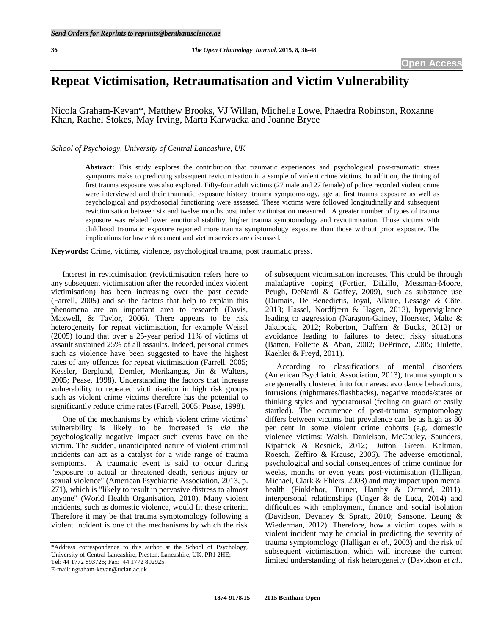# **Repeat Victimisation, Retraumatisation and Victim Vulnerability**

Nicola Graham-Kevan\*, Matthew Brooks, VJ Willan, Michelle Lowe, Phaedra Robinson, Roxanne Khan, Rachel Stokes, May Irving, Marta Karwacka and Joanne Bryce

*School of Psychology, University of Central Lancashire, UK*

**Abstract:** This study explores the contribution that traumatic experiences and psychological post-traumatic stress symptoms make to predicting subsequent revictimisation in a sample of violent crime victims. In addition, the timing of first trauma exposure was also explored. Fifty-four adult victims (27 male and 27 female) of police recorded violent crime were interviewed and their traumatic exposure history, trauma symptomology, age at first trauma exposure as well as psychological and psychosocial functioning were assessed. These victims were followed longitudinally and subsequent revictimisation between six and twelve months post index victimisation measured. A greater number of types of trauma exposure was related lower emotional stability, higher trauma symptomology and revictimisation. Those victims with childhood traumatic exposure reported more trauma symptomology exposure than those without prior exposure. The implications for law enforcement and victim services are discussed.

**Keywords:** Crime, victims, violence, psychological trauma, post traumatic press.

Interest in revictimisation (revictimisation refers here to any subsequent victimisation after the recorded index violent victimisation) has been increasing over the past decade (Farrell, 2005) and so the factors that help to explain this phenomena are an important area to research (Davis, Maxwell, & Taylor, 2006). There appears to be risk heterogeneity for repeat victimisation, for example Weisel (2005) found that over a 25-year period 11% of victims of assault sustained 25% of all assaults. Indeed, personal crimes such as violence have been suggested to have the highest rates of any offences for repeat victimisation (Farrell, 2005; Kessler, Berglund, Demler, Merikangas, Jin & Walters, 2005; Pease, 1998). Understanding the factors that increase vulnerability to repeated victimisation in high risk groups such as violent crime victims therefore has the potential to significantly reduce crime rates (Farrell, 2005; Pease, 1998).

One of the mechanisms by which violent crime victims' vulnerability is likely to be increased is *via* the psychologically negative impact such events have on the victim. The sudden, unanticipated nature of violent criminal incidents can act as a catalyst for a wide range of trauma symptoms. A traumatic event is said to occur during "exposure to actual or threatened death, serious injury or sexual violence" (American Psychiatric Association, 2013, p. 271), which is "likely to result in pervasive distress to almost anyone" (World Health Organisation, 2010). Many violent incidents, such as domestic violence, would fit these criteria. Therefore it may be that trauma symptomology following a violent incident is one of the mechanisms by which the risk

of subsequent victimisation increases. This could be through maladaptive coping (Fortier, DiLillo, Messman-Moore, Peugh, DeNardi & Gaffey, 2009), such as substance use (Dumais, De Benedictis, Joyal, Allaire, Lessage & Côte, 2013; Hassel, Nordfjærn & Hagen, 2013), hypervigilance leading to aggression (Naragon-Gainey, Hoerster, Malte & Jakupcak, 2012; Roberton, Daffern & Bucks, 2012) or avoidance leading to failures to detect risky situations (Batten, Follette & Aban, 2002; DePrince, 2005; Hulette, Kaehler & Freyd, 2011).

According to classifications of mental disorders (American Psychiatric Association, 2013), trauma symptoms are generally clustered into four areas: avoidance behaviours, intrusions (nightmares/flashbacks), negative moods/states or thinking styles and hyperarousal (feeling on guard or easily startled). The occurrence of post-trauma symptomology differs between victims but prevalence can be as high as 80 per cent in some violent crime cohorts (e.g. domestic violence victims: Walsh, Danielson, McCauley, Saunders, Kipatrick & Resnick, 2012; Dutton, Green, Kaltman, Roesch, Zeffiro & Krause, 2006). The adverse emotional, psychological and social consequences of crime continue for weeks, months or even years post-victimisation (Halligan, Michael, Clark & Ehlers, 2003) and may impact upon mental health (Finklehor, Turner, Hamby & Ormrod, 2011), interpersonal relationships (Unger & de Luca, 2014) and difficulties with employment, finance and social isolation (Davidson, Devaney & Spratt, 2010; Sansone, Leung & Wiederman, 2012). Therefore, how a victim copes with a violent incident may be crucial in predicting the severity of trauma symptomology (Halligan *et al*., 2003) and the risk of subsequent victimisation, which will increase the current limited understanding of risk heterogeneity (Davidson *et al*.,

<sup>\*</sup>Address correspondence to this author at the School of Psychology, University of Central Lancashire, Preston, Lancashire, UK. PR1 2HE; Tel: 44 1772 893726; Fax: 44 1772 892925 E-mail: ngraham-kevan@uclan.ac.uk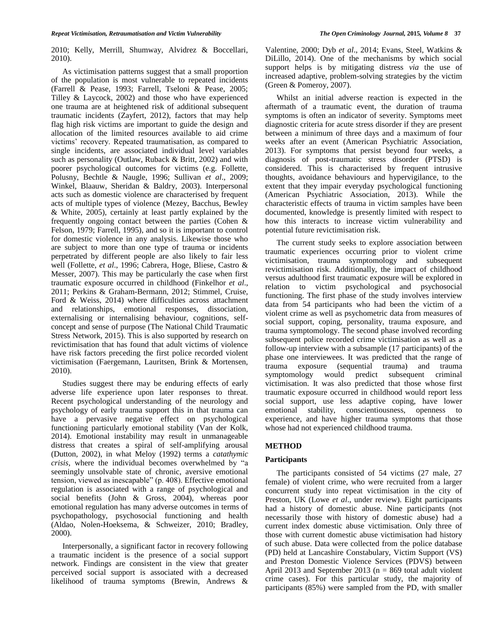2010; Kelly, Merrill, Shumway, Alvidrez & Boccellari, 2010).

As victimisation patterns suggest that a small proportion of the population is most vulnerable to repeated incidents (Farrell & Pease, 1993; Farrell, Tseloni & Pease, 2005; Tilley & Laycock, 2002) and those who have experienced one trauma are at heightened risk of additional subsequent traumatic incidents (Zayfert, 2012), factors that may help flag high risk victims are important to guide the design and allocation of the limited resources available to aid crime victims" recovery. Repeated traumatisation, as compared to single incidents, are associated individual level variables such as personality (Outlaw, Ruback & Britt, 2002) and with poorer psychological outcomes for victims (e.g. Follette, Polusny, Bechtle & Naugle, 1996; Sullivan *et al*., 2009; Winkel, Blaauw, Sheridan & Baldry, 2003). Interpersonal acts such as domestic violence are characterised by frequent acts of multiple types of violence (Mezey, Bacchus, Bewley & White, 2005), certainly at least partly explained by the frequently ongoing contact between the parties (Cohen & Felson, 1979; Farrell, 1995), and so it is important to control for domestic violence in any analysis. Likewise those who are subject to more than one type of trauma or incidents perpetrated by different people are also likely to fair less well (Follette, *et al*., 1996; Cabrera, Hoge, Bliese, Castro & Messer, 2007). This may be particularly the case when first traumatic exposure occurred in childhood (Finkelhor *et al*., 2011; Perkins & Graham-Bermann, 2012; Stimmel, Cruise, Ford & Weiss, 2014) where difficulties across attachment and relationships, emotional responses, dissociation, externalising or internalising behaviour, cognitions, selfconcept and sense of purpose (The National Child Traumatic Stress Network, 2015). This is also supported by research on revictimisation that has found that adult victims of violence have risk factors preceding the first police recorded violent victimisation (Faergemann, Lauritsen, Brink & Mortensen, 2010).

Studies suggest there may be enduring effects of early adverse life experience upon later responses to threat. Recent psychological understanding of the neurology and psychology of early trauma support this in that trauma can have a pervasive negative effect on psychological functioning particularly emotional stability (Van der Kolk, 2014). Emotional instability may result in unmanageable distress that creates a spiral of self-amplifying arousal (Dutton, 2002), in what Meloy (1992) terms a *catathymic crisis,* where the individual becomes overwhelmed by "a seemingly unsolvable state of chronic, aversive emotional tension, viewed as inescapable" (p. 408). Effective emotional regulation is associated with a range of psychological and social benefits (John & Gross, 2004), whereas poor emotional regulation has many adverse outcomes in terms of psychopathology, psychosocial functioning and health (Aldao, Nolen-Hoeksema, & Schweizer, 2010; Bradley, 2000).

Interpersonally, a significant factor in recovery following a traumatic incident is the presence of a social support network. Findings are consistent in the view that greater perceived social support is associated with a decreased likelihood of trauma symptoms (Brewin, Andrews &

Valentine, 2000; Dyb *et al*., 2014; Evans, Steel, Watkins & DiLillo, 2014). One of the mechanisms by which social support helps is by mitigating distress *via* the use of increased adaptive, problem-solving strategies by the victim (Green & Pomeroy, 2007).

Whilst an initial adverse reaction is expected in the aftermath of a traumatic event, the duration of trauma symptoms is often an indicator of severity. Symptoms meet diagnostic criteria for acute stress disorder if they are present between a minimum of three days and a maximum of four weeks after an event (American Psychiatric Association, 2013). For symptoms that persist beyond four weeks, a diagnosis of post-traumatic stress disorder (PTSD) is considered. This is characterised by frequent intrusive thoughts, avoidance behaviours and hypervigilance, to the extent that they impair everyday psychological functioning (American Psychiatric Association, 2013). While the characteristic effects of trauma in victim samples have been documented, knowledge is presently limited with respect to how this interacts to increase victim vulnerability and potential future revictimisation risk.

The current study seeks to explore association between traumatic experiences occurring prior to violent crime victimisation, trauma symptomology and subsequent revictimisation risk. Additionally, the impact of childhood versus adulthood first traumatic exposure will be explored in relation to victim psychological and psychosocial functioning. The first phase of the study involves interview data from 54 participants who had been the victim of a violent crime as well as psychometric data from measures of social support, coping, personality, trauma exposure, and trauma symptomology. The second phase involved recording subsequent police recorded crime victimisation as well as a follow-up interview with a subsample (17 participants) of the phase one interviewees. It was predicted that the range of trauma exposure (sequential trauma) and trauma symptomology would predict subsequent criminal victimisation. It was also predicted that those whose first traumatic exposure occurred in childhood would report less social support, use less adaptive coping, have lower emotional stability, conscientiousness, openness to experience, and have higher trauma symptoms that those whose had not experienced childhood trauma.

#### **METHOD**

#### **Participants**

The participants consisted of 54 victims (27 male, 27 female) of violent crime, who were recruited from a larger concurrent study into repeat victimisation in the city of Preston, UK (Lowe *et al*., under review). Eight participants had a history of domestic abuse. Nine participants (not necessarily those with history of domestic abuse) had a current index domestic abuse victimisation. Only three of those with current domestic abuse victimisation had history of such abuse. Data were collected from the police database (PD) held at Lancashire Constabulary, Victim Support (VS) and Preston Domestic Violence Services (PDVS) between April 2013 and September 2013 ( $n = 869$  total adult violent crime cases). For this particular study, the majority of participants (85%) were sampled from the PD, with smaller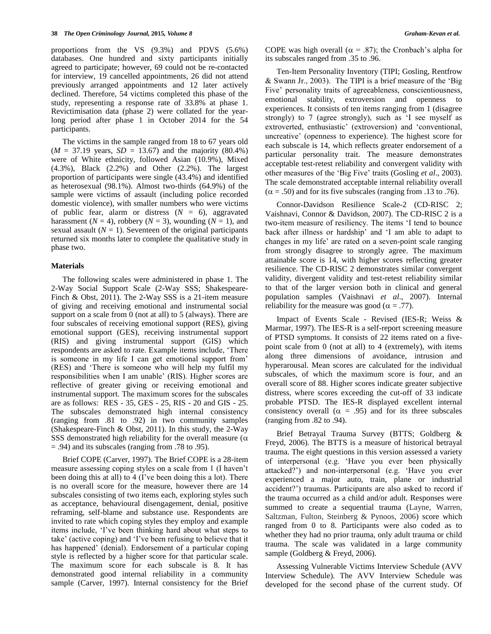proportions from the VS (9.3%) and PDVS (5.6%) databases. One hundred and sixty participants initially agreed to participate; however, 69 could not be re-contacted for interview, 19 cancelled appointments, 26 did not attend previously arranged appointments and 12 later actively declined. Therefore, 54 victims completed this phase of the study, representing a response rate of 33.8% at phase 1. Revictimisation data (phase 2) were collated for the yearlong period after phase 1 in October 2014 for the 54 participants.

The victims in the sample ranged from 18 to 67 years old  $(M = 37.19 \text{ years}, SD = 13.67)$  and the majority (80.4%) were of White ethnicity, followed Asian (10.9%), Mixed (4.3%), Black (2.2%) and Other (2.2%). The largest proportion of participants were single (43.4%) and identified as heterosexual (98.1%). Almost two-thirds (64.9%) of the sample were victims of assault (including police recorded domestic violence), with smaller numbers who were victims of public fear, alarm or distress  $(N = 6)$ , aggravated harassment ( $N = 4$ ), robbery ( $N = 3$ ), wounding ( $N = 1$ ), and sexual assault  $(N = 1)$ . Seventeen of the original participants returned six months later to complete the qualitative study in phase two.

#### **Materials**

The following scales were administered in phase 1. The 2-Way Social Support Scale (2-Way SSS; Shakespeare-Finch & Obst, 2011). The 2-Way SSS is a 21-item measure of giving and receiving emotional and instrumental social support on a scale from 0 (not at all) to 5 (always). There are four subscales of receiving emotional support (RES), giving emotional support (GES), receiving instrumental support (RIS) and giving instrumental support (GIS) which respondents are asked to rate. Example items include, "There is someone in my life I can get emotional support from" (RES) and "There is someone who will help my fulfil my responsibilities when I am unable" (RIS). Higher scores are reflective of greater giving or receiving emotional and instrumental support. The maximum scores for the subscales are as follows: RES - 35, GES - 25, RIS - 20 and GIS - 25. The subscales demonstrated high internal consistency (ranging from .81 to .92) in two community samples (Shakespeare-Finch & Obst, 2011). In this study, the 2-Way SSS demonstrated high reliability for the overall measure ( $\alpha$ ) = .94) and its subscales (ranging from .78 to .95).

Brief COPE (Carver, 1997). The Brief COPE is a 28-item measure assessing coping styles on a scale from 1 (I haven"t been doing this at all) to 4 (I've been doing this a lot). There is no overall score for the measure, however there are 14 subscales consisting of two items each, exploring styles such as acceptance, behavioural disengagement, denial, positive reframing, self-blame and substance use. Respondents are invited to rate which coping styles they employ and example items include, "I"ve been thinking hard about what steps to take" (active coping) and "I"ve been refusing to believe that it has happened' (denial). Endorsement of a particular coping style is reflected by a higher score for that particular scale. The maximum score for each subscale is 8. It has demonstrated good internal reliability in a community sample (Carver, 1997). Internal consistency for the Brief

COPE was high overall ( $\alpha$  = .87); the Cronbach's alpha for its subscales ranged from .35 to .96.

Ten-Item Personality Inventory (TIPI; Gosling, Rentfrow & Swann Jr., 2003). The TIPI is a brief measure of the "Big Five' personality traits of agreeableness, conscientiousness, emotional stability, extroversion and openness to experiences. It consists of ten items ranging from 1 (disagree strongly) to 7 (agree strongly), such as "I see myself as extroverted, enthusiastic" (extroversion) and "conventional, uncreative" (openness to experience). The highest score for each subscale is 14, which reflects greater endorsement of a particular personality trait. The measure demonstrates acceptable test-retest reliability and convergent validity with other measures of the "Big Five" traits (Gosling *et al*., 2003). The scale demonstrated acceptable internal reliability overall  $(\alpha = .50)$  and for its five subscales (ranging from .13 to .76).

Connor-Davidson Resilience Scale-2 (CD-RISC 2; Vaishnavi, Connor & Davidson, 2007). The CD-RISC 2 is a two-item measure of resiliency. The items "I tend to bounce back after illness or hardship' and 'I am able to adapt to changes in my life' are rated on a seven-point scale ranging from strongly disagree to strongly agree. The maximum attainable score is 14, with higher scores reflecting greater resilience. The CD-RISC 2 demonstrates similar convergent validity, divergent validity and test-retest reliability similar to that of the larger version both in clinical and general population samples (Vaishnavi *et al*., 2007). Internal reliability for the measure was good ( $\alpha = .77$ ).

Impact of Events Scale - Revised (IES-R; Weiss & Marmar, 1997). The IES-R is a self-report screening measure of PTSD symptoms. It consists of 22 items rated on a fivepoint scale from 0 (not at all) to 4 (extremely), with items along three dimensions of avoidance, intrusion and hyperarousal. Mean scores are calculated for the individual subscales, of which the maximum score is four, and an overall score of 88. Higher scores indicate greater subjective distress, where scores exceeding the cut-off of 33 indicate probable PTSD. The IES-R displayed excellent internal consistency overall ( $\alpha = .95$ ) and for its three subscales (ranging from .82 to .94).

Brief Betrayal Trauma Survey (BTTS; Goldberg & Freyd, 2006). The BTTS is a measure of historical betrayal trauma. The eight questions in this version assessed a variety of interpersonal (e.g. "Have you ever been physically attacked?") and non-interpersonal (e.g. "Have you ever experienced a major auto, train, plane or industrial accident?") traumas. Participants are also asked to record if the trauma occurred as a child and/or adult. Responses were summed to create a sequential trauma (Layne, Warren, Saltzman, Fulton, Steinberg & Pynoos, 2006) score which ranged from 0 to 8. Participants were also coded as to whether they had no prior trauma, only adult trauma or child trauma. The scale was validated in a large community sample (Goldberg & Freyd, 2006).

Assessing Vulnerable Victims Interview Schedule (AVV Interview Schedule). The AVV Interview Schedule was developed for the second phase of the current study. Of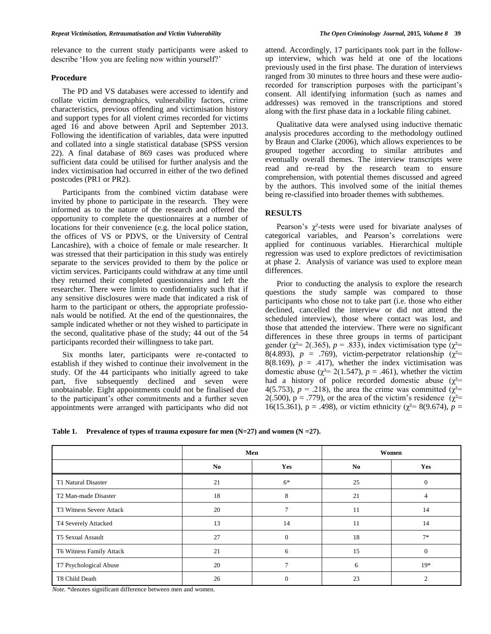relevance to the current study participants were asked to describe 'How you are feeling now within yourself?'

#### **Procedure**

The PD and VS databases were accessed to identify and collate victim demographics, vulnerability factors, crime characteristics, previous offending and victimisation history and support types for all violent crimes recorded for victims aged 16 and above between April and September 2013. Following the identification of variables, data were inputted and collated into a single statistical database (SPSS version 22). A final database of 869 cases was produced where sufficient data could be utilised for further analysis and the index victimisation had occurred in either of the two defined postcodes (PR1 or PR2).

Participants from the combined victim database were invited by phone to participate in the research. They were informed as to the nature of the research and offered the opportunity to complete the questionnaires at a number of locations for their convenience (e.g. the local police station, the offices of VS or PDVS, or the University of Central Lancashire), with a choice of female or male researcher. It was stressed that their participation in this study was entirely separate to the services provided to them by the police or victim services. Participants could withdraw at any time until they returned their completed questionnaires and left the researcher. There were limits to confidentiality such that if any sensitive disclosures were made that indicated a risk of harm to the participant or others, the appropriate professionals would be notified. At the end of the questionnaires, the sample indicated whether or not they wished to participate in the second, qualitative phase of the study; 44 out of the 54 participants recorded their willingness to take part.

Six months later, participants were re-contacted to establish if they wished to continue their involvement in the study. Of the 44 participants who initially agreed to take part, five subsequently declined and seven were unobtainable. Eight appointments could not be finalised due to the participant"s other commitments and a further seven appointments were arranged with participants who did not

attend. Accordingly, 17 participants took part in the followup interview, which was held at one of the locations previously used in the first phase. The duration of interviews ranged from 30 minutes to three hours and these were audiorecorded for transcription purposes with the participant's consent. All identifying information (such as names and addresses) was removed in the transcriptions and stored

Qualitative data were analysed using inductive thematic analysis procedures according to the methodology outlined by Braun and Clarke (2006), which allows experiences to be grouped together according to similar attributes and eventually overall themes. The interview transcripts were read and re-read by the research team to ensure comprehension, with potential themes discussed and agreed by the authors. This involved some of the initial themes being re-classified into broader themes with subthemes.

along with the first phase data in a lockable filing cabinet.

## **RESULTS**

Pearson's  $\chi^2$ -tests were used for bivariate analyses of categorical variables, and Pearson"s correlations were applied for continuous variables. Hierarchical multiple regression was used to explore predictors of revictimisation at phase 2. Analysis of variance was used to explore mean differences.

Prior to conducting the analysis to explore the research questions the study sample was compared to those participants who chose not to take part (i.e. those who either declined, cancelled the interview or did not attend the scheduled interview), those where contact was lost, and those that attended the interview. There were no significant differences in these three groups in terms of participant gender ( $\chi^2$ = 2(.365), *p* = .833), index victimisation type ( $\chi^2$ = 8(4.893),  $p = .769$ ), victim-perpetrator relationship ( $\chi^2$ = 8(8.169),  $p = .417$ ), whether the index victimisation was domestic abuse ( $\chi^2$ = 2(1.547), *p* = .461), whether the victim had a history of police recorded domestic abuse  $(\chi^2=$ 4(5.753),  $p = 0.218$ ), the area the crime was committed ( $\chi^2$ = 2(.500),  $p = .779$ ), or the area of the victim's residence ( $\chi^2$ = 16(15.361),  $p = .498$ ), or victim ethnicity ( $\chi^2 = 8(9.674)$ ,  $p =$ 

**Table 1. Prevalence of types of trauma exposure for men**  $(N=27)$  **and women**  $(N=27)$ **.** 

|                          |     | Men            | Women          |          |  |
|--------------------------|-----|----------------|----------------|----------|--|
|                          | No. | Yes            | N <sub>0</sub> | Yes      |  |
| T1 Natural Disaster      | 21  | $6*$           | 25             | $\Omega$ |  |
| T2 Man-made Disaster     | 18  | 8              | 21             | 4        |  |
| T3 Witness Severe Attack | 20  | $\overline{7}$ | 11             | 14       |  |
| T4 Severely Attacked     | 13  | 14             | 11             | 14       |  |
| T5 Sexual Assault        | 27  | $\Omega$       | 18             | $7*$     |  |
| T6 Witness Family Attack | 21  | 6              | 15             | $\Omega$ |  |
| T7 Psychological Abuse   | 20  | $\overline{7}$ | 6              | $19*$    |  |
| T8 Child Death           | 26  | $\Omega$       | 23             |          |  |

*Note.* \*denotes significant difference between men and women.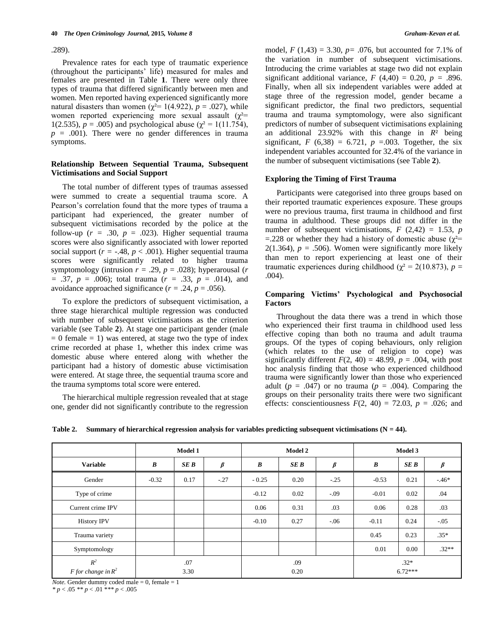.289).

Prevalence rates for each type of traumatic experience (throughout the participants' life) measured for males and females are presented in Table **1**. There were only three types of trauma that differed significantly between men and women. Men reported having experienced significantly more natural disasters than women ( $\chi^2$ = 1(4.922),  $p$  = .027), while women reported experiencing more sexual assault  $(\chi^2=$ 1(2.535),  $p = .005$ ) and psychological abuse ( $\chi^2 = 1(11.754)$ ,  $p = .001$ ). There were no gender differences in trauma symptoms.

## **Relationship Between Sequential Trauma, Subsequent Victimisations and Social Support**

The total number of different types of traumas assessed were summed to create a sequential trauma score. A Pearson"s correlation found that the more types of trauma a participant had experienced, the greater number of subsequent victimisations recorded by the police at the follow-up  $(r = .30, p = .023)$ . Higher sequential trauma scores were also significantly associated with lower reported social support ( $r = -.48$ ,  $p < .001$ ). Higher sequential trauma scores were significantly related to higher trauma symptomology (intrusion  $r = .29$ ,  $p = .028$ ); hyperarousal (*r =* .37, *p* = .006); total trauma (*r =* .33, *p* = .014), and avoidance approached significance  $(r = .24, p = .056)$ .

To explore the predictors of subsequent victimisation, a three stage hierarchical multiple regression was conducted with number of subsequent victimisations as the criterion variable (see Table **2**). At stage one participant gender (male  $= 0$  female  $= 1$ ) was entered, at stage two the type of index crime recorded at phase 1, whether this index crime was domestic abuse where entered along with whether the participant had a history of domestic abuse victimisation were entered. At stage three, the sequential trauma score and the trauma symptoms total score were entered.

The hierarchical multiple regression revealed that at stage one, gender did not significantly contribute to the regression model,  $F(1,43) = 3.30$ ,  $p = .076$ , but accounted for 7.1% of the variation in number of subsequent victimisations. Introducing the crime variables at stage two did not explain significant additional variance,  $F(4,40) = 0.20$ ,  $p = .896$ . Finally, when all six independent variables were added at stage three of the regression model, gender became a significant predictor, the final two predictors, sequential trauma and trauma symptomology, were also significant predictors of number of subsequent victimisations explaining an additional 23.92% with this change in *R*² being significant,  $F(6,38) = 6.721$ ,  $p = .003$ . Together, the six independent variables accounted for 32.4% of the variance in the number of subsequent victimisations (see Table **2**).

#### **Exploring the Timing of First Trauma**

Participants were categorised into three groups based on their reported traumatic experiences exposure. These groups were no previous trauma, first trauma in childhood and first trauma in adulthood. These groups did not differ in the number of subsequent victimisations,  $F(2,42) = 1.53$ ,  $p($ =.228 or whether they had a history of domestic abuse ( $\chi^2$ = 2(1.364),  $p = .506$ ). Women were significantly more likely than men to report experiencing at least one of their traumatic experiences during childhood ( $\chi^2 = 2(10.873)$ , *p* = .004).

# **Comparing Victims' Psychological and Psychosocial Factors**

Throughout the data there was a trend in which those who experienced their first trauma in childhood used less effective coping than both no trauma and adult trauma groups. Of the types of coping behaviours, only religion (which relates to the use of religion to cope) was significantly different  $F(2, 40) = 48.99$ ,  $p = .004$ , with post hoc analysis finding that those who experienced childhood trauma were significantly lower than those who experienced adult ( $p = .047$ ) or no trauma ( $p = .004$ ). Comparing the groups on their personality traits there were two significant effects: conscientiousness  $F(2, 40) = 72.03$ ,  $p = .026$ ; and

|  |  |  |  |  | Table 2. Summary of hierarchical regression analysis for variables predicting subsequent victimisations $(N = 44)$ . |
|--|--|--|--|--|----------------------------------------------------------------------------------------------------------------------|
|--|--|--|--|--|----------------------------------------------------------------------------------------------------------------------|

|                                | Model 1   |             |               | <b>Model 2</b> |      |                     | Model 3   |      |         |
|--------------------------------|-----------|-------------|---------------|----------------|------|---------------------|-----------|------|---------|
| <b>Variable</b>                | $\pmb{B}$ | SE B        | $\pmb{\beta}$ | $\pmb{B}$      | SE B | $\beta$             | $\pmb{B}$ | SE B | $\beta$ |
| Gender                         | $-0.32$   | 0.17        | $-.27$        | $-0.25$        | 0.20 | $-.25$              | $-0.53$   | 0.21 | $-46*$  |
| Type of crime                  |           |             |               | $-0.12$        | 0.02 | $-.09$              | $-0.01$   | 0.02 | .04     |
| Current crime IPV              |           |             |               | 0.06           | 0.31 | .03                 | 0.06      | 0.28 | .03     |
| <b>History IPV</b>             |           |             |               | $-0.10$        | 0.27 | $-.06$              | $-0.11$   | 0.24 | $-.05$  |
| Trauma variety                 |           |             |               |                |      |                     | 0.45      | 0.23 | $.35*$  |
| Symptomology                   |           |             |               |                |      |                     | 0.01      | 0.00 | $.32**$ |
| $R^2$<br>F for change in $R^2$ |           | .07<br>3.30 |               | .09<br>0.20    |      | $.32*$<br>$6.72***$ |           |      |         |

*Note.* Gender dummy coded male  $= 0$ , female  $= 1$ *\* p* < .05 *\*\* p* < .01 \**\*\* p* < .005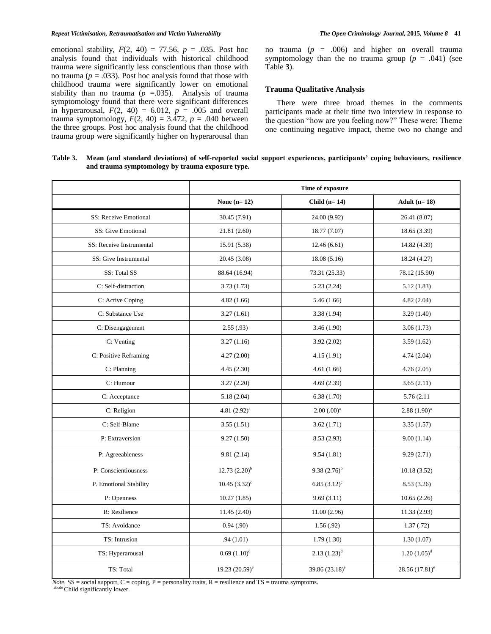#### *Repeat Victimisation, Retraumatisation and Victim Vulnerability The Open Criminology Journal,* **2015***, Volume 8* **41**

emotional stability,  $F(2, 40) = 77.56$ ,  $p = .035$ . Post hoc analysis found that individuals with historical childhood trauma were significantly less conscientious than those with no trauma ( $p = .033$ ). Post hoc analysis found that those with childhood trauma were significantly lower on emotional stability than no trauma ( $p = 0.035$ ). Analysis of trauma symptomology found that there were significant differences in hyperarousal,  $F(2, 40) = 6.012$ ,  $p = .005$  and overall trauma symptomology,  $F(2, 40) = 3.472$ ,  $p = .040$  between the three groups. Post hoc analysis found that the childhood trauma group were significantly higher on hyperarousal than

no trauma ( $p = .006$ ) and higher on overall trauma symptomology than the no trauma group  $(p = .041)$  (see Table **3**).

# **Trauma Qualitative Analysis**

There were three broad themes in the comments participants made at their time two interview in response to the question "how are you feeling now?" These were: Theme one continuing negative impact, theme two no change and

#### **Table 3. Mean (and standard deviations) of self-reported social support experiences, participants' coping behaviours, resilience and trauma symptomology by trauma exposure type.**

|                          | Time of exposure      |                              |                                                                    |  |  |
|--------------------------|-----------------------|------------------------------|--------------------------------------------------------------------|--|--|
|                          | None $(n=12)$         | Child $(n=14)$               | Adult $(n=18)$                                                     |  |  |
| SS: Receive Emotional    | 30.45 (7.91)          | 24.00 (9.92)                 | 26.41 (8.07)                                                       |  |  |
| SS: Give Emotional       | 21.81 (2.60)          | 18.77 (7.07)                 | 18.65(3.39)                                                        |  |  |
| SS: Receive Instrumental | 15.91 (5.38)          | 12.46(6.61)                  | 14.82 (4.39)                                                       |  |  |
| SS: Give Instrumental    | 20.45 (3.08)          | 18.08 (5.16)                 | 18.24 (4.27)                                                       |  |  |
| SS: Total SS             | 88.64 (16.94)         | 73.31 (25.33)                | 78.12 (15.90)                                                      |  |  |
| C: Self-distraction      | 3.73(1.73)            | 5.23(2.24)                   | 5.12(1.83)                                                         |  |  |
| C: Active Coping         | 4.82(1.66)            | 5.46(1.66)                   | 4.82(2.04)                                                         |  |  |
| C: Substance Use         | 3.27(1.61)            | 3.38 (1.94)                  | 3.29(1.40)<br>3.06(1.73)<br>3.59(1.62)<br>4.74(2.04)<br>4.76(2.05) |  |  |
| C: Disengagement         | 2.55(.93)             | 3.46(1.90)                   |                                                                    |  |  |
| C: Venting               | 3.27(1.16)            | 3.92(2.02)                   |                                                                    |  |  |
| C: Positive Reframing    | 4.27(2.00)            | 4.15(1.91)                   |                                                                    |  |  |
| C: Planning              | 4.45(2.30)            | 4.61(1.66)                   |                                                                    |  |  |
| C: Humour                | 3.27(2.20)            | 4.69(2.39)                   | 3.65(2.11)                                                         |  |  |
| C: Acceptance            | 5.18(2.04)            | 6.38(1.70)                   | 5.76 (2.11)                                                        |  |  |
| C: Religion              | 4.81 $(2.92)^a$       | $2.00$ $(.00)^a$             | $2.88(1.90)^{a}$                                                   |  |  |
| C: Self-Blame            | 3.55(1.51)            | 3.62(1.71)                   | 3.35(1.57)                                                         |  |  |
| P: Extraversion          | 9.27(1.50)            | 8.53(2.93)                   | 9.00(1.14)                                                         |  |  |
| P: Agreeableness         | 9.81(2.14)            | 9.54(1.81)                   | 9.29(2.71)                                                         |  |  |
| P: Conscientiousness     | $12.73(2.20)^{b}$     | $9.38(2.76)^{b}$             | 10.18(3.52)                                                        |  |  |
| P. Emotional Stability   | $10.45(3.32)^{\circ}$ | $6.85(3.12)^c$               | 8.53(3.26)                                                         |  |  |
| P: Openness              | 10.27(1.85)           | 9.69(3.11)                   | 10.65(2.26)                                                        |  |  |
| R: Resilience            | 11.45(2.40)           | 11.00(2.96)                  | 11.33(2.93)                                                        |  |  |
| TS: Avoidance            | 0.94(0.90)            | 1.56(.92)                    | 1.37(0.72)                                                         |  |  |
| TS: Intrusion            | .94(1.01)             | 1.79(1.30)                   | 1.30(1.07)                                                         |  |  |
| TS: Hyperarousal         | $0.69(1.10)^d$        | $2.13(1.23)^d$               | $1.20(1.05)^d$                                                     |  |  |
| TS: Total                | 19.23 $(20.59)^e$     | 39.86 $(23.18)$ <sup>e</sup> | $28.56(17.81)^e$                                                   |  |  |

*Note.*  $SS = social support$ ,  $C = coping$ ,  $P = personality traits$ ,  $R = resilience$  and  $TS = trauma symptoms$ . abcde Child significantly lower.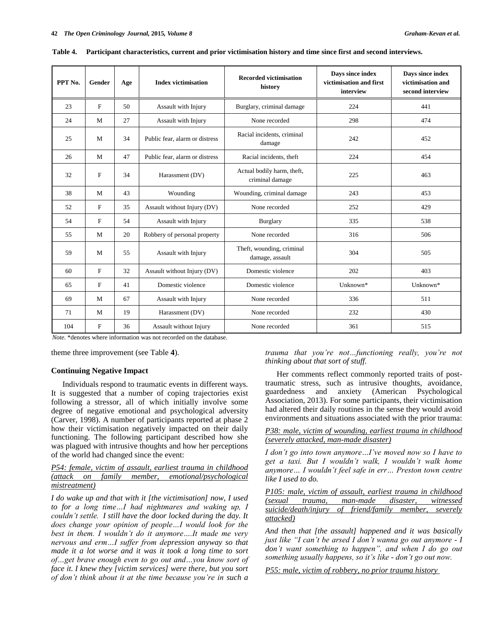| PPT No. | Gender                    | Age | <b>Index victimisation</b>     | <b>Recorded victimisation</b><br>history      | Days since index<br>victimisation and first<br>interview | Days since index<br>victimisation and<br>second interview |
|---------|---------------------------|-----|--------------------------------|-----------------------------------------------|----------------------------------------------------------|-----------------------------------------------------------|
| 23      | F                         | 50  | Assault with Injury            | Burglary, criminal damage                     | 224                                                      | 441                                                       |
| 24      | M                         | 27  | Assault with Injury            | None recorded                                 | 298                                                      | 474                                                       |
| 25      | M                         | 34  | Public fear, alarm or distress | Racial incidents, criminal<br>damage          | 242                                                      | 452                                                       |
| 26      | M                         | 47  | Public fear, alarm or distress | Racial incidents, theft                       | 224                                                      | 454                                                       |
| 32      | F                         | 34  | Harassment (DV)                | Actual bodily harm, theft,<br>criminal damage | 225                                                      | 463                                                       |
| 38      | M                         | 43  | Wounding                       | Wounding, criminal damage                     | 243                                                      | 453                                                       |
| 52      | $\boldsymbol{\mathrm{F}}$ | 35  | Assault without Injury (DV)    | None recorded                                 | 252                                                      | 429                                                       |
| 54      | $\boldsymbol{\mathrm{F}}$ | 54  | Assault with Injury            | <b>Burglary</b>                               | 335                                                      | 538                                                       |
| 55      | M                         | 20  | Robbery of personal property   | None recorded                                 | 316                                                      | 506                                                       |
| 59      | M                         | 55  | Assault with Injury            | Theft, wounding, criminal<br>damage, assault  | 304                                                      | 505                                                       |
| 60      | $\boldsymbol{\mathrm{F}}$ | 32  | Assault without Injury (DV)    | Domestic violence                             | 202                                                      | 403                                                       |
| 65      | $\mathbf F$               | 41  | Domestic violence              | Domestic violence                             | Unknown*                                                 | Unknown*                                                  |
| 69      | M                         | 67  | Assault with Injury            | None recorded                                 | 336                                                      | 511                                                       |
| 71      | M                         | 19  | Harassment (DV)                | None recorded                                 | 232                                                      | 430                                                       |
| 104     | F                         | 36  | Assault without Injury         | None recorded                                 | 361                                                      | 515                                                       |

**Table 4. Participant characteristics, current and prior victimisation history and time since first and second interviews.**

*Note.* \*denotes where information was not recorded on the database.

theme three improvement (see Table **4**).

## **Continuing Negative Impact**

Individuals respond to traumatic events in different ways. It is suggested that a number of coping trajectories exist following a stressor, all of which initially involve some degree of negative emotional and psychological adversity (Carver, 1998). A number of participants reported at phase 2 how their victimisation negatively impacted on their daily functioning. The following participant described how she was plagued with intrusive thoughts and how her perceptions of the world had changed since the event:

*P54: female, victim of assault, earliest trauma in childhood (attack on family member, emotional/psychological mistreatment)*

*I do wake up and that with it [the victimisation] now, I used to for a long time…I had nightmares and waking up, I couldn't settle. I still have the door locked during the day. It does change your opinion of people…I would look for the best in them. I wouldn't do it anymore….It made me very nervous and erm…I suffer from depression anyway so that made it a lot worse and it was it took a long time to sort of…get brave enough even to go out and…you know sort of face it. I knew they [victim services] were there, but you sort of don't think about it at the time because you're in such a* 

*trauma that you're not…functioning really, you're not thinking about that sort of stuff.*

Her comments reflect commonly reported traits of posttraumatic stress, such as intrusive thoughts, avoidance, guardedness and anxiety (American Psychological Association, 2013). For some participants, their victimisation had altered their daily routines in the sense they would avoid environments and situations associated with the prior trauma:

*P38: male, victim of wounding, earliest trauma in childhood (severely attacked, man-made disaster)*

*I don't go into town anymore…I've moved now so I have to get a taxi. But I wouldn't walk, I wouldn't walk home anymore… I wouldn't feel safe in err… Preston town centre like I used to do.*

*P105: male, victim of assault, earliest trauma in childhood (sexual trauma, man-made disaster, witnessed suicide/death/injury of friend/family member, severely attacked)*

*And then that [the assault] happened and it was basically just like "I can't be arsed I don't wanna go out anymore - I don't want something to happen", and when I do go out something usually happens, so it's like - don't go out now.*

*P55: male, victim of robbery, no prior trauma history*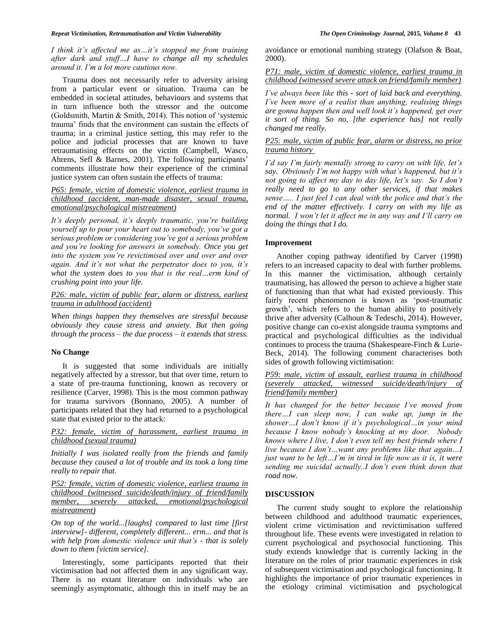*I think it's affected me as…it's stopped me from training after dark and stuff…I have to change all my schedules around it. I'm a lot more cautious now.*

Trauma does not necessarily refer to adversity arising from a particular event or situation. Trauma can be embedded in societal attitudes, behaviours and systems that in turn influence both the stressor and the outcome (Goldsmith, Martin & Smith, 2014). This notion of "systemic trauma" finds that the environment can sustain the effects of trauma; in a criminal justice setting, this may refer to the police and judicial processes that are known to have retraumatising effects on the victim (Campbell, Wasco, Ahrens, Sefl & Barnes, 2001). The following participants' comments illustrate how their experience of the criminal justice system can often sustain the effects of trauma:

# *P65: female, victim of domestic violence, earliest trauma in childhood (accident, man-made disaster, sexual trauma, emotional/psychological mistreatment)*

*It's deeply personal, it's deeply traumatic, you're building yourself up to pour your heart out to somebody, you've got a serious problem or considering you've got a serious problem and you're looking for answers in somebody. Once you get into the system you're revictimised over and over and over again. And it's not what the perpetrator does to you, it's what the system does to you that is the real…erm kind of crushing point into your life.*

# *P26: male, victim of public fear, alarm or distress, earliest trauma in adulthood (accident)*

*When things happen they themselves are stressful because obviously they cause stress and anxiety. But then going through the process – the due process – it extends that stress.*

#### **No Change**

It is suggested that some individuals are initially negatively affected by a stressor, but that over time, return to a state of pre-trauma functioning, known as recovery or resilience (Carver, 1998). This is the most common pathway for trauma survivors (Bonnano, 2005). A number of participants related that they had returned to a psychological state that existed prior to the attack:

# *P32: female, victim of harassment, earliest trauma in childhood (sexual trauma)*

*Initially I was isolated really from the friends and family because they caused a lot of trouble and its took a long time really to repair that.*

*P52: female, victim of domestic violence, earliest trauma in childhood (witnessed suicide/death/injury of friend/family member, severely attacked, emotional/psychological mistreatment)*

*On top of the world...[laughs] compared to last time [first interview]- different, completely different... erm... and that is with help from domestic violence unit that's - that is solely down to them [victim service].*

Interestingly, some participants reported that their victimisation had not affected them in any significant way. There is no extant literature on individuals who are seemingly asymptomatic, although this in itself may be an

avoidance or emotional numbing strategy (Olafson & Boat, 2000).

*P71: male, victim of domestic violence, earliest trauma in childhood (witnessed severe attack on friend/family member)*

*I've always been like this - sort of laid back and everything. I've been more of a realist than anything, realising things are gonna happen then and well look it's happened, get over it sort of thing. So no, [the experience has] not really changed me really.*

# *P25: male, victim of public fear, alarm or distress, no prior trauma history*

*I'd say I'm fairly mentally strong to carry on with life, let's say. Obviously I'm not happy with what's happened, but it's not going to affect my day to day life, let's say. So I don't really need to go to any other services, if that makes sense….. I just feel I can deal with the police and that's the end of the matter effectively. I carry on with my life as normal. I won't let it affect me in any way and I'll carry on doing the things that I do.*

# **Improvement**

Another coping pathway identified by Carver (1998) refers to an increased capacity to deal with further problems. In this manner the victimisation, although certainly traumatising, has allowed the person to achieve a higher state of functioning than that what had existed previously. This fairly recent phenomenon is known as 'post-traumatic growth", which refers to the human ability to positively thrive after adversity (Calhoun & Tedeschi, 2014). However, positive change can co-exist alongside trauma symptoms and practical and psychological difficulties as the individual continues to process the trauma (Shakespeare-Finch & Lurie-Beck, 2014). The following comment characterises both sides of growth following victimisation:

# *P59: male, victim of assault, earliest trauma in childhood (severely attacked, witnessed suicide/death/injury of friend/family member)*

*It has changed for the better because I've moved from there…I can sleep now, I can wake up, jump in the shower…I don't know if it's psychological…in your mind because I know nobody's knocking at my door. Nobody knows where I live, I don't even tell my best friends where I live because I don't…want any problems like that again…I just want to be left…I'm in tired in life now as it is, it were sending me suicidal actually..I don't even think down that road now.*

# **DISCUSSION**

The current study sought to explore the relationship between childhood and adulthood traumatic experiences, violent crime victimisation and revictimisation suffered throughout life. These events were investigated in relation to current psychological and psychosocial functioning. This study extends knowledge that is currently lacking in the literature on the roles of prior traumatic experiences in risk of subsequent victimisation and psychological functioning. It highlights the importance of prior traumatic experiences in the etiology criminal victimisation and psychological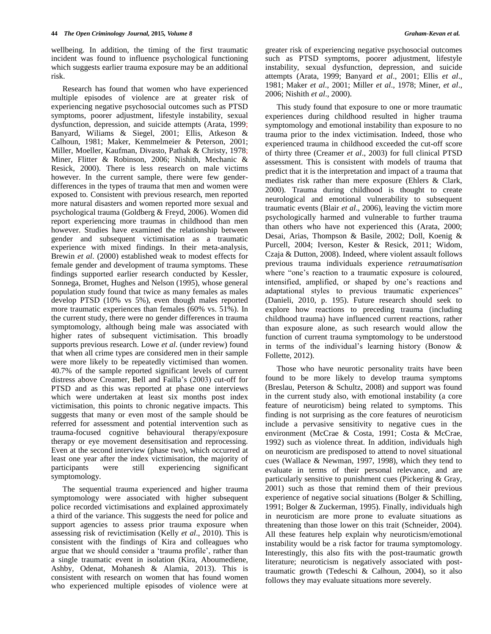wellbeing. In addition, the timing of the first traumatic incident was found to influence psychological functioning which suggests earlier trauma exposure may be an additional risk.

Research has found that women who have experienced multiple episodes of violence are at greater risk of experiencing negative psychosocial outcomes such as PTSD symptoms, poorer adjustment, lifestyle instability, sexual dysfunction, depression, and suicide attempts (Arata, 1999; Banyard, Wiliams & Siegel, 2001; Ellis, Atkeson & Calhoun, 1981; Maker, Kemmelmeier & Peterson, 2001; Miller, Moeller, Kaufman, Divasto, Pathak & Christy, 1978; Miner, Flitter & Robinson, 2006; Nishith, Mechanic & Resick, 2000). There is less research on male victims however. In the current sample, there were few genderdifferences in the types of trauma that men and women were exposed to. Consistent with previous research, men reported more natural disasters and women reported more sexual and psychological trauma (Goldberg & Freyd, 2006). Women did report experiencing more traumas in childhood than men however. Studies have examined the relationship between gender and subsequent victimisation as a traumatic experience with mixed findings. In their meta-analysis, Brewin *et al*. (2000) established weak to modest effects for female gender and development of trauma symptoms. These findings supported earlier research conducted by Kessler, Sonnega, Bromet, Hughes and Nelson (1995), whose general population study found that twice as many females as males develop PTSD (10% vs 5%), even though males reported more traumatic experiences than females (60% vs. 51%). In the current study, there were no gender differences in trauma symptomology, although being male was associated with higher rates of subsequent victimisation. This broadly supports previous research. Lowe *et al*. (under review) found that when all crime types are considered men in their sample were more likely to be repeatedly victimised than women. 40.7% of the sample reported significant levels of current distress above Creamer, Bell and Failla"s (2003) cut-off for PTSD and as this was reported at phase one interviews which were undertaken at least six months post index victimisation, this points to chronic negative impacts. This suggests that many or even most of the sample should be referred for assessment and potential intervention such as trauma-focused cognitive behavioural therapy/exposure therapy or eye movement desensitisation and reprocessing. Even at the second interview (phase two), which occurred at least one year after the index victimisation, the majority of participants were still experiencing significant symptomology.

The sequential trauma experienced and higher trauma symptomology were associated with higher subsequent police recorded victimisations and explained approximately a third of the variance. This suggests the need for police and support agencies to assess prior trauma exposure when assessing risk of revictimisation (Kelly *et al*., 2010). This is consistent with the findings of Kira and colleagues who argue that we should consider a "trauma profile", rather than a single traumatic event in isolation (Kira, Aboumediene, Ashby, Odenat, Mohanesh & Alamia, 2013). This is consistent with research on women that has found women who experienced multiple episodes of violence were at

greater risk of experiencing negative psychosocial outcomes such as PTSD symptoms, poorer adjustment, lifestyle instability, sexual dysfunction, depression, and suicide attempts (Arata, 1999; Banyard *et al*., 2001; Ellis *et al*., 1981; Maker *et al*., 2001; Miller *et al*., 1978; Miner, *et al*., 2006; Nishith *et al*., 2000).

This study found that exposure to one or more traumatic experiences during childhood resulted in higher trauma symptomology and emotional instability than exposure to no trauma prior to the index victimisation. Indeed, those who experienced trauma in childhood exceeded the cut-off score of thirty three (Creamer *et al*., 2003) for full clinical PTSD assessment. This is consistent with models of trauma that predict that it is the interpretation and impact of a trauma that mediates risk rather than mere exposure (Ehlers & Clark, 2000). Trauma during childhood is thought to create neurological and emotional vulnerability to subsequent traumatic events (Blair *et al*., 2006), leaving the victim more psychologically harmed and vulnerable to further trauma than others who have not experienced this (Arata, 2000; Desai, Arias, Thompson & Basile, 2002; Doll, Koenig & Purcell, 2004; Iverson, Kester & Resick, 2011; Widom, Czaja & Dutton, 2008). Indeed, where violent assault follows previous trauma individuals experience *retraumatisation*  where "one's reaction to a traumatic exposure is coloured, intensified, amplified, or shaped by one"s reactions and adaptational styles to previous traumatic experiences" (Danieli, 2010, p. 195). Future research should seek to explore how reactions to preceding trauma (including childhood trauma) have influenced current reactions, rather than exposure alone, as such research would allow the function of current trauma symptomology to be understood in terms of the individual's learning history (Bonow  $\&$ Follette, 2012).

Those who have neurotic personality traits have been found to be more likely to develop trauma symptoms (Breslau, Peterson & Schultz, 2008) and support was found in the current study also, with emotional instability (a core feature of neuroticism) being related to symptoms. This finding is not surprising as the core features of neuroticism include a pervasive sensitivity to negative cues in the environment (McCrae & Costa, 1991; Costa & McCrae, 1992) such as violence threat. In addition, individuals high on neuroticism are predisposed to attend to novel situational cues (Wallace & Newman, 1997, 1998), which they tend to evaluate in terms of their personal relevance, and are particularly sensitive to punishment cues (Pickering & Gray, 2001) such as those that remind them of their previous experience of negative social situations (Bolger & Schilling, 1991; Bolger & Zuckerman, 1995). Finally, individuals high in neuroticism are more prone to evaluate situations as threatening than those lower on this trait (Schneider, 2004). All these features help explain why neuroticism/emotional instability would be a risk factor for trauma symptomology. Interestingly, this also fits with the post-traumatic growth literature; neuroticism is negatively associated with posttraumatic growth (Tedeschi & Calhoun, 2004), so it also follows they may evaluate situations more severely.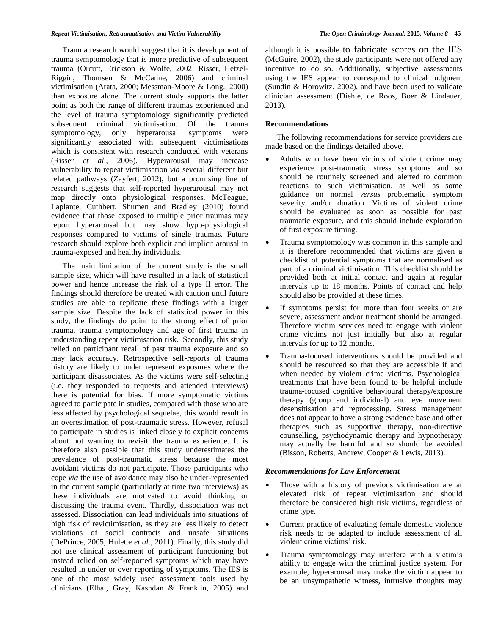#### *Repeat Victimisation, Retraumatisation and Victim Vulnerability The Open Criminology Journal,* **2015***, Volume 8* **45**

Trauma research would suggest that it is development of trauma symptomology that is more predictive of subsequent trauma (Orcutt, Erickson & Wolfe, 2002; Risser, Hetzel-Riggin, Thomsen & McCanne, 2006) and criminal victimisation (Arata, 2000; Messman-Moore & Long., 2000) than exposure alone. The current study supports the latter point as both the range of different traumas experienced and the level of trauma symptomology significantly predicted subsequent criminal victimisation. Of the trauma symptomology, only hyperarousal symptoms were significantly associated with subsequent victimisations which is consistent with research conducted with veterans (Risser *et al*., 2006). Hyperarousal may increase vulnerability to repeat victimisation *via* several different but related pathways (Zayfert, 2012), but a promising line of research suggests that self-reported hyperarousal may not map directly onto physiological responses. McTeague, Laplante, Cuthbert, Shumen and Bradley (2010) found evidence that those exposed to multiple prior traumas may report hyperarousal but may show hypo-physiological responses compared to victims of single traumas. Future research should explore both explicit and implicit arousal in trauma-exposed and healthy individuals.

The main limitation of the current study is the small sample size, which will have resulted in a lack of statistical power and hence increase the risk of a type II error. The findings should therefore be treated with caution until future studies are able to replicate these findings with a larger sample size. Despite the lack of statistical power in this study, the findings do point to the strong effect of prior trauma, trauma symptomology and age of first trauma in understanding repeat victimisation risk. Secondly, this study relied on participant recall of past trauma exposure and so may lack accuracy. Retrospective self-reports of trauma history are likely to under represent exposures where the participant disassociates. As the victims were self-selecting (i.e. they responded to requests and attended interviews) there is potential for bias. If more symptomatic victims agreed to participate in studies, compared with those who are less affected by psychological sequelae, this would result in an overestimation of post-traumatic stress. However, refusal to participate in studies is linked closely to explicit concerns about not wanting to revisit the trauma experience. It is therefore also possible that this study underestimates the prevalence of post-traumatic stress because the most avoidant victims do not participate. Those participants who cope *via* the use of avoidance may also be under-represented in the current sample (particularly at time two interviews) as these individuals are motivated to avoid thinking or discussing the trauma event. Thirdly, dissociation was not assessed. Dissociation can lead individuals into situations of high risk of revictimisation, as they are less likely to detect violations of social contracts and unsafe situations (DePrince, 2005; Hulette *et al*., 2011). Finally, this study did not use clinical assessment of participant functioning but instead relied on self-reported symptoms which may have resulted in under or over reporting of symptoms. The IES is one of the most widely used assessment tools used by clinicians (Elhai, Gray, Kashdan & Franklin, 2005) and

although it is possible to fabricate scores on the IES (McGuire, 2002), the study participants were not offered any incentive to do so. Additionally, subjective assessments using the IES appear to correspond to clinical judgment (Sundin & Horowitz, 2002), and have been used to validate clinician assessment (Diehle, de Roos, Boer & Lindauer, 2013).

## **Recommendations**

The following recommendations for service providers are made based on the findings detailed above.

- Adults who have been victims of violent crime may experience post-traumatic stress symptoms and so should be routinely screened and alerted to common reactions to such victimisation, as well as some guidance on normal *versus* problematic symptom severity and/or duration. Victims of violent crime should be evaluated as soon as possible for past traumatic exposure, and this should include exploration of first exposure timing.
- Trauma symptomology was common in this sample and it is therefore recommended that victims are given a checklist of potential symptoms that are normalised as part of a criminal victimisation. This checklist should be provided both at initial contact and again at regular intervals up to 18 months. Points of contact and help should also be provided at these times.
- If symptoms persist for more than four weeks or are severe, assessment and/or treatment should be arranged. Therefore victim services need to engage with violent crime victims not just initially but also at regular intervals for up to 12 months.
- Trauma-focused interventions should be provided and should be resourced so that they are accessible if and when needed by violent crime victims. Psychological treatments that have been found to be helpful include trauma-focused cognitive behavioural therapy/exposure therapy (group and individual) and eye movement desensitisation and reprocessing. Stress management does not appear to have a strong evidence base and other therapies such as supportive therapy, non-directive counselling, psychodynamic therapy and hypnotherapy may actually be harmful and so should be avoided (Bisson, Roberts, Andrew, Cooper & Lewis, 2013).

#### *Recommendations for Law Enforcement*

- Those with a history of previous victimisation are at elevated risk of repeat victimisation and should therefore be considered high risk victims, regardless of crime type.
- Current practice of evaluating female domestic violence risk needs to be adapted to include assessment of all violent crime victims' risk.
- Trauma symptomology may interfere with a victim"s ability to engage with the criminal justice system. For example, hyperarousal may make the victim appear to be an unsympathetic witness, intrusive thoughts may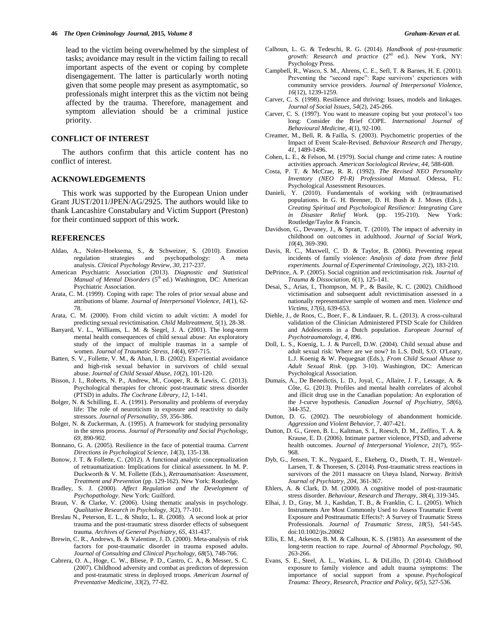lead to the victim being overwhelmed by the simplest of tasks; avoidance may result in the victim failing to recall important aspects of the event or coping by complete disengagement. The latter is particularly worth noting given that some people may present as asymptomatic, so professionals might interpret this as the victim not being affected by the trauma. Therefore, management and symptom alleviation should be a criminal justice priority.

#### **CONFLICT OF INTEREST**

The authors confirm that this article content has no conflict of interest.

#### **ACKNOWLEDGEMENTS**

This work was supported by the European Union under Grant JUST/2011/JPEN/AG/2925. The authors would like to thank Lancashire Constabulary and Victim Support (Preston) for their continued support of this work.

#### **REFERENCES**

- Aldao, A., Nolen-Hoeksema, S., & Schweizer, S. (2010). Emotion regulation strategies and psychopathology: A meta analysis. *Clinical Psychology Review, 30*, 217-237.
- American Psychiatric Association (2013). *Diagnostic and Statistical*  Manual of Mental Disorders (5<sup>th</sup> ed.) Washington, DC: American Psychiatric Association.
- Arata, C. M. (1999). Coping with rape: The roles of prior sexual abuse and attributions of blame. *Journal of Interpersonal Violence, 14*(1), 62- 78.
- Arata, C. M. (2000). From child victim to adult victim: A model for predicting sexual revictimisation. *Child Maltreatment, 5*(1), 28-38.
- Banyard, V. L., Williams, L. M. & Siegel, J. A. (2001). The long-term mental health consequences of child sexual abuse: An exploratory study of the impact of multiple traumas in a sample of women. *Journal of Traumatic Stress*, *14*(4), 697-715.
- Batten, S. V., Follette, V. M., & Aban, I. B. (2002). Experiential avoidance and high-risk sexual behavior in survivors of child sexual abuse. *Journal of Child Sexual Abuse*, *10*(2), 101-120.
- Bisson, J. I., Roberts, N. P., Andrew, M., Cooper, R. & Lewis, C. (2013). Psychological therapies for chronic post-traumatic stress disorder (PTSD) in adults. *The Cochrane Library, 12,* 1-141.
- Bolger, N. & Schilling, E. A. (1991). Personality and problems of everyday life: The role of neuroticism in exposure and reactivity to daily stressors. *Journal of Personality, 59*, 356-386.
- Bolger, N. & Zuckerman, A. (1995). A framework for studying personality in the stress process. *Journal of Personality and Social Psychology, 69*, 890-902.
- Bonnano, G. A. (2005). Resilience in the face of potential trauma. *Current Directions in Psychological Science*, *14*(3), 135-138.
- Bonow, J. T. & Follette, C. (2012). A functional analytic conceptualization of retraumatization: Implications for clinical assessment. In M. P. Duckworth & V. M. Follette (Eds.), *Retraumatisation: Assessment, Treatment and Prevention* (pp. 129-162). New York: Routledge.
- Bradley, S. J. (2000). *Affect Regulation and the Development of Psychopathology*. New York: Guilford.
- Braun, V. & Clarke, V. (2006). Using thematic analysis in psychology. *Qualitative Research in Psychology, 3*(2), 77-101.
- Breslau N., Peterson, E. L., & Shultz, L. R. (2008). A second look at prior trauma and the post-traumatic stress disorder effects of subsequent trauma. *Archives of General Psychiatry, 65,* 431-437.
- Brewin, C. R., Andrews, B. & Valentine, J. D. (2000). Meta-analysis of risk factors for post-traumatic disorder in trauma exposed adults. *Journal of Consulting and Clinical Psychology, 68*(5), 748-766.
- Cabrera, O. A., Hoge, C. W., Bliese, P. D., Castro, C. A., & Messer, S. C. (2007). Childhood adversity and combat as predictors of depression and post-traumatic stress in deployed troops. *American Journal of Preventative Medicine, 33*(2), 77-82.
- Calhoun, L. G. & Tedeschi, R. G. (2014). *Handbook of post-traumatic growth: Research and practice* (2nd ed.). New York, NY: Psychology Press.
- Campbell, R., Wasco, S. M., Ahrens, C. E., Sefl, T. & Barnes, H. E. (2001). Preventing the "second rape": Rape survivors' experiences with community service providers. *Journal of Interpersonal Violence*, *16*(12), 1239-1259.
- Carver, C. S. (1998). Resilience and thriving: Issues, models and linkages. *Journal of Social Issues, 54*(2), 245-266.
- Carver, C. S. (1997). You want to measure coping but your protocol"s too long: Consider the Brief COPE. *International Journal of Behavioural Medicine, 4*(1), 92-100.
- Creamer, M., Bell, R. & Failla, S. (2003). Psychometric properties of the Impact of Event Scale-Revised. *Behaviour Research and Therapy, 41,* 1489-1496.
- Cohen, L. E., & Felson, M. (1979). Social change and crime rates: A routine activities approach. *American Sociological Review, 44*, 588-608.
- Costa, P. T. & McCrae, R. R. (1992). *The Revised NEO Personality Inventory (NEO PI-R) Professional Manual*. Odessa, FL: Psychological Assessment Resources.
- Danieli, Y. (2010). Fundamentals of working with (re)traumatised populations. In G. H. Brenner, D. H. Bush & J. Moses (Eds.), *Creating Spiritual and Psychological Resilience: Integrating Care in Disaster Relief Work.* (pp. 195-210). New York: Routledge/Taylor & Francis.
- Davidson, G., Devaney, J., & Spratt, T. (2010). The impact of adversity in childhood on outcomes in adulthood. *Journal of Social Work, 10*(4), 369-390.
- Davis, R. C., Maxwell, C. D. & Taylor, B. (2006). Preventing repeat incidents of family violence: *Analysis of data from three field experiments. Journal of Experimental Criminology, 2*(2), 183-210.
- DePrince, A. P. (2005). Social cognition and revictimisation risk. *Journal of Trauma & Dissociation, 6*(1), 125-141.
- Desai, S., Arias, I., Thompson, M. P., & Basile, K. C. (2002). Childhood victimisation and subsequent adult revictimisation assessed in a nationally representative sample of women and men. *Violence and Victims*, *17*(6), 639-653.
- Diehle, J., de Roos, C., Boer, F., & Lindauer, R. L. (2013). A cross-cultural validation of the Clinician Administered PTSD Scale for Children and Adolescents in a Dutch population. *European Journal of Psychotraumatology, 4,* 896.
- Doll, L. S., Koenig, L. J. & Purcell, D.W. (2004). Child sexual abuse and adult sexual risk: Where are we now? In L.S. Doll, S.O. O'Leary, L.J. Koenig & W. Pequegnat (Eds.), *From Child Sexual Abuse to Adult Sexual Risk.* (pp. 3-10). Washington, DC: American Psychological Association.
- Dumais, A., De Benedictis, L. D., Joyal, C., Allaire, J. F., Lessage, A. & Côte, G. (2013). Profiles and mental health correlates of alcohol and illicit drug use in the Canadian population: An exploration of the J-curve hypothesis. *Canadian Journal of Psychiatry, 58*(6), 344-352.
- Dutton, D. G. (2002). The neurobiology of abandonment homicide. *Aggression and Violent Behavior*, 7, 407-421.
- Dutton, D. G., Green, B. L., Kaltman, S. I., Roesch, D. M., Zeffiro, T. A. & Krause, E. D. (2006). Intimate partner violence, PTSD, and adverse health outcomes. *Journal of Interpersonal Violence, 21*(7), 955- 968.
- Dyb, G., Jensen, T. K., Nygaard, E., Ekeberg, O., Diseth, T. H., Wentzel-Larsen, T. & Thoresen, S. (2014). Post-traumatic stress reactions in survivors of the 2011 massacre on Utøya Island, Norway. *British Journal of Psychiatry, 204,* 361-367.
- Ehlers, A. & Clark, D. M. (2000). A cognitive model of post-traumatic stress disorder. *Behaviour, Research and Therapy, 38*(4), 319-345.
- Elhai, J. D., Gray, M. J., Kashdan, T. B., & Franklin, C. L. (2005). Which Instruments Are Most Commonly Used to Assess Traumatic Event Exposure and Posttraumatic Effects?: A Survey of Traumatic Stress Professionals. *Journal of Traumatic Stress, 18*(5), 541-545. doi:10.1002/jts.20062
- Ellis, E. M., Atkeson, B. M. & Calhoun, K. S. (1981). An assessment of the long-term reaction to rape. *Journal of Abnormal Psychology, 90,*  263-266.
- Evans, S. E., Steel, A. L., Watkins, L. & DiLillo, D. (2014). Childhood exposure to family violence and adult trauma symptoms: The importance of social support from a spouse. *Psychological Trauma: Theory, Research, Practice and Policy*, *6(5),* 527-536.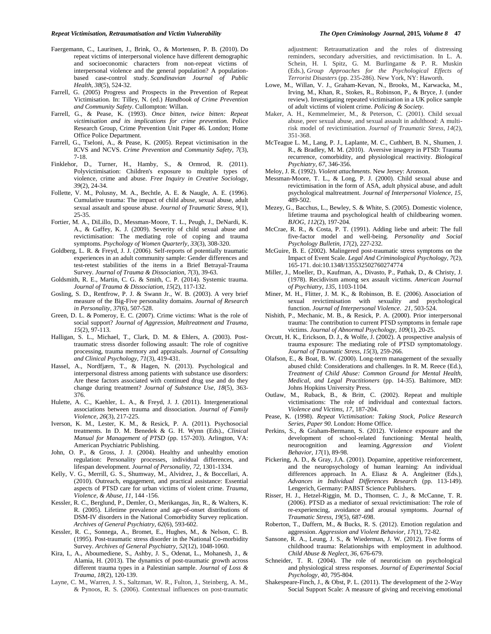- Faergemann, C., Lauritsen, J., Brink, O., & Mortensen, P. B. (2010). Do repeat victims of interpersonal violence have different demographic and socioeconomic characters from non-repeat victims of interpersonal violence and the general population? A populationbased case-control study. *[Scandinavian Journal of Public](http://findresearcher.sdu.dk:8080/portal/en/journals/scandinavian-journal-of-public-health(7973e698-bfa7-4b98-8a9b-4d6608064524).html)  [Health](http://findresearcher.sdu.dk:8080/portal/en/journals/scandinavian-journal-of-public-health(7973e698-bfa7-4b98-8a9b-4d6608064524).html)*, *38*(5), 524-32.
- Farrell, G. (2005) Progress and Prospects in the Prevention of Repeat Victimisation. In: Tilley, N. (ed.) *Handbook of Crime Prevention and Community Safety*. Cullompton: Willan.
- Farrell, G., & Pease, K. (1993). *Once bitten, twice bitten: Repeat victimisation and its implications for crime prevention.* Police Research Group, Crime Prevention Unit Paper 46. London; Home Office Police Department.
- Farrell, G., Tseloni, A., & Pease, K. (2005). Repeat victimisation in the ICVS and NCVS. *Crime Prevention and Community Safety, 7*(3), 7-18.
- Finklehor, D., Turner, H., Hamby, S., & Ormrod, R. (2011). Polyvictimisation: Children's exposure to multiple types of violence, crime and abuse. *Free Inquiry in Creative Sociology, 39*(2), 24-34.
- Follette, V. M., Polusny, M. A., Bechtle, A. E. & Naugle, A. E. (1996). Cumulative trauma: The impact of child abuse, sexual abuse, adult sexual assault and spouse abuse. *Journal of Traumatic Stress, 9*(1), 25-35.
- Fortier, M. A., DiLillo, D., Messman‐Moore, T. L., Peugh, J., DeNardi, K. A., & Gaffey, K. J. (2009). Severity of child sexual abuse and revictimisation: The mediating role of coping and trauma symptoms. *Psychology of Women Quarterly*, *33*(3), 308-320.
- Goldberg, L. R. & Freyd, J. J. (2006). Self-reports of potentially traumatic experiences in an adult community sample: Gender differences and test-retest stabilities of the items in a Brief Betrayal-Trauma Survey. *Journal of Trauma & Dissociation, 7*(3), 39-63.
- Goldsmith, R. E., Martin, C. G. & Smith, C. P. (2014). Systemic trauma. *Journal of Trauma & Dissociation, 15*(2), 117-132.
- Gosling, S. D., Rentfrow, P. J. & Swann Jr., W. B. (2003). A very brief measure of the Big-Five personality domains. *Journal of Research in Personality, 37*(6), 507-528.
- Green*,* D. L. & Pomeroy*,* E. C. (2007). Crime victims: What is the role of social support? *Journal of Aggression, Maltreatment and Trauma, 15*(2), 97-113.
- Halligan, S. L., Michael, T., Clark, D. M. & Ehlers, A. (2003). Posttraumatic stress disorder following assault: The role of cognitive processing, trauma memory and appraisals. *Journal of Consulting and Clinical Psychology, 71*(3), 419-431.
- Hassel, A., Nordfjærn, T., & Hagen, N. (2013). Psychological and interpersonal distress among patients with substance use disorders: Are these factors associated with continued drug use and do they change during treatment? *Journal of Substance Use, 18*(5), 363- 376.
- Hulette, A. C., Kaehler, L. A., & Freyd, J. J. (2011). Intergenerational associations between trauma and dissociation. *Journal of Family Violence, 26*(3), 217-225.
- Iverson, K. M., Lester, K. M., & Resick, P. A. (2011). Psychosocial treatments. In D. M. Benedek & G. H. Wynn (Eds)., *Clinical Manual for Management of PTSD* (pp. 157-203). Arlington, VA: American Psychiatric Publishing.
- John, O. P., & Gross, J. J. (2004). Healthy and unhealthy emotion regulation: Personality processes, individual differences, and lifespan development. *Journal of Personality, 72,* 1301-1334.
- Kelly, V. G., Merrill, G. S., Shumway, M., Alvidrez, J., & Boccellari, A. (2010). Outreach, engagement, and practical assistance: Essential aspects of PTSD care for urban victims of violent crime. *Trauma, Violence, & Abuse, 11,* 144 -156.
- Kessler, R. C., Berglund, P., Demler, O., Merikangas, Jin, R., & Walters, K. R. (2005). Lifetime prevalence and age-of-onset distributions of DSM-IV disorders in the National Comorbidity Survey replication. *Archives of General Psychiatry, 62*(6), 593-602.
- Kessler, R. C., Sonnega, A., Bromet, E., Hughes, M., & Nelson, C. B*.*  (1995). Post-traumatic stress disorder in the National Co-morbidity Survey. *Archives of General Psychiatry, 52*(12), 1048-1060.
- Kira, I., A., Aboumediene, S., Ashby, J. S., Odenat, L., Mohanesh, J., & Alamia, H. (2013). The dynamics of post-traumatic growth across different trauma types in a Palestinian sample. *Journal of Loss & Trauma, 18*(2), 120-139.
- Layne, C. M., Warren, J. S., Saltzman, W. R., Fulton, J., Steinberg, A. M., & Pynoos, R. S. (2006). Contextual influences on post-traumatic

adjustment: Retraumatization and the roles of distressing reminders, secondary adversities, and revictimisation. In L. A. Schein, H. I. Spitz, G. M. Burlingame & P. R. Muskin (Eds.), *Group Approaches for the Psychological Effects of Terrorist Disasters* (pp. 235-286). New York, NY: Haworth.

- Lowe, M., Willan, V. J., Graham-Kevan, N., Brooks, M., Karwacka, M., Irving, M., Khan, R., Stokes, R., Robinson, P., & Bryce, J. (under review). Investigating repeated victimisation in a UK police sample of adult victims of violent crime. *Policing & Society.*
- Maker, A. H., Kemmelmeier, M., & Peterson, C. (2001). Child sexual abuse, peer sexual abuse, and sexual assault in adulthood: A multirisk model of revictimisation. *Journal of Traumatic Stress*, *14*(2), 351-368.
- McTeague L. M., Lang, P. J., Laplante, M. C., Cuthbert, B. N., Shumen, J. R., & Bradley, M. M. (2010). Aversive imagery in PTSD: Trauma recurrence, comorbidity, and physiological reactivity. *Biological Psychiatry, 67*, 346-356.
- Meloy, J. R. (1992). *Violent attachments*. New Jersey: Aronson.
- Messman-Moore, T. L., & Long, P. J. (2000). Child sexual abuse and revictimisation in the form of ASA, adult physical abuse, and adult psychological maltreatment. *Journal of Interpersonal Violence, 15*, 489-502.
- Mezey, G., Bacchus, L., Bewley, S. & White, S. (2005). Domestic violence, lifetime trauma and psychological health of childbearing women. *BJOG, 112*(2), 197-204.
- McCrae, R. R., & Costa, P. T. (1991). Adding liebe und arbeit: The full five-factor model and well-being. *Personality and Social Psychology Bulletin, 17*(2), 227-232.
- McGuire, B. E. (2002). Malingered post-traumatic stress symptoms on the Impact of Event Scale. *Legal And Criminological Psychology, 7*(2), 165-171. doi:10.1348/135532502760274774
- Miller, J., Moeller, D., Kaufman, A., Divasto, P., Pathak, D., & Christy, J. (1978). Recidivism among sex assault victims. *American Journal of Psychiatry, 135,* 1103-1104.
- Miner, M. H., Flitter, J. M. K., & Robinson, B. E. (2006). Association of sexual revictimisation with sexuality and psychological function. *Journal of Interpersonal Violence*. *21*, 503-524.
- Nishith, P., Mechanic, M. B., & Resick, P. A. (2000). Prior interpersonal trauma: The contribution to current PTSD symptoms in female rape victims. *Journal of Abnormal Psychology, 109*(1), 20-25.
- Orcutt, H. K., Erickson, D. J., & Wolfe, J. (2002). A prospective analysis of trauma exposure: The mediating role of PTSD symptomatology. *Journal of Traumatic Stress, 15*(3), 259-266.
- Olafson, E., & Boat, B. W. (2000). Long-term management of the sexually abused child: Considerations and challenges. In R. M. Reece (Ed.), *Treatment of Child Abuse: Common Ground for Mental Health, Medical, and Legal Practitioners* (pp. 14-35). Baltimore, MD: Johns Hopkins University Press.
- Outlaw, M., Ruback, B., & Britt, C. (2002). Repeat and multiple victimisations: The role of individual and contextual factors. *Violence and Victims, 17*, 187-204.
- Pease, K. (1998). *Repeat Victimisation: Taking Stock, Police Research Series, Paper 90*. London: Home Office.
- Perkins, S., & Graham-Bermann, S. (2012). Violence exposure and the development of school-related functioning: Mental health, neurocognition and learning. *Aggression and Violent Behavior*, *17*(1), 89-98.
- Pickering, A. D., & Gray, J.A. (2001). Dopamine, appetitive reinforcement, and the neuropsychology of human learning: An individual differences approach. In A. Eliasz & A. Angleitner (Eds.), *Advances in Individual Differences Research* (pp. 113-149). Lengerich, Germany: PABST Science Publishers.
- Risser, H. J., Hetzel-Riggin, M. D., Thomsen, C. J., & McCanne, T. R. (2006). PTSD as a mediator of sexual revictimisation: The role of re-experiencing, avoidance and arousal symptoms. *Journal of Traumatic Stress, 19*(5), 687-698.
- Roberton, T., Daffern, M., & Bucks, R. S. (2012). Emotion regulation and aggression. *Aggression and Violent Behavior, 17*(1), 72-82.
- Sansone, R. A., Leung, J. S., & Wiederman, J. W. (2012). Five forms of childhood trauma: Relationships with employment in adulthood. *Child Abuse & Neglect, 36,* 676-679.
- Schneider, T. R. (2004). The role of neuroticism on psychological and physiological stress responses. *Journal of Experimental Social Psychology, 40*, 795-804.
- Shakespeare-Finch, J., & Obst, P. L. (2011). The development of the 2-Way Social Support Scale: A measure of giving and receiving emotional